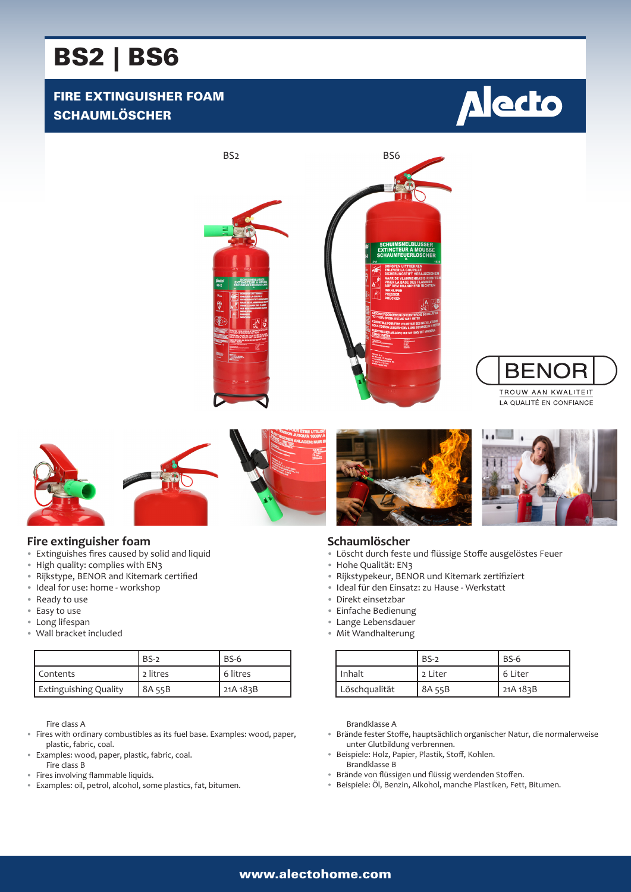# BS2 | BS6

## FIRE EXTINGUISHER FOAM **SCHAUMLÖSCHER**







#### **Fire extinguisher foam**

- Extinguishes fires caused by solid and liquid
- High quality: complies with EN3
- Rijkstype, BENOR and Kitemark certified
- Ideal for use: home workshop
- Ready to use
- Easy to use
- Long lifespan
- Wall bracket included

|                              | $BS-2$   | $BS-6$   |
|------------------------------|----------|----------|
| Contents                     | 2 litres | 6 litres |
| <b>Extinguishing Quality</b> | 8A 55B   | 21A 183B |

Fire class A

- Fires with ordinary combustibles as its fuel base. Examples: wood, paper, plastic, fabric, coal.
- Examples: wood, paper, plastic, fabric, coal.
- Fire class B
- Fires involving flammable liquids. • Examples: oil, petrol, alcohol, some plastics, fat, bitumen.





**BENOR** TROUW AAN KWALITEIT LA QUALITÉ EN CONFIANCE

#### **Schaumlöscher**

- Löscht durch feste und flüssige Stoffe ausgelöstes Feuer
- Hohe Qualität: EN3
- Rijkstypekeur, BENOR und Kitemark zertifiziert
- Ideal für den Einsatz: zu Hause Werkstatt
- Direkt einsetzbar
- Einfache Bedienung
- Lange Lebensdauer
- Mit Wandhalterung

|               | $BS-2$  | $BS-6$   |
|---------------|---------|----------|
| Inhalt        | 2 Liter | 6 Liter  |
| Löschqualität | 8A 55B  | 21A 183B |

Brandklasse A

- Brände fester Stoffe, hauptsächlich organischer Natur, die normalerweise unter Glutbildung verbrennen.
- Beispiele: Holz, Papier, Plastik, Stoff, Kohlen. Brandklasse B
- Brände von flüssigen und flüssig werdenden Stoffen.
- Beispiele: Öl, Benzin, Alkohol, manche Plastiken, Fett, Bitumen.